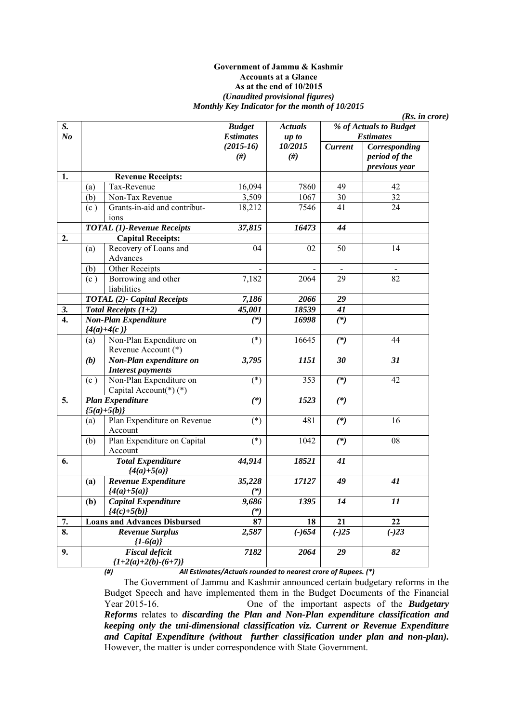#### **Government of Jammu & Kashmir Accounts at a Glance As at the end of 10/2015**  *(Unaudited provisional figures) Monthly Key Indicator for the month of 10/2015*

|     |                                                |                                                                                                                                                                                                                                                                                                                                                                                                                                                                       |                           |                            | (Rs. in <i>core</i> )                           |
|-----|------------------------------------------------|-----------------------------------------------------------------------------------------------------------------------------------------------------------------------------------------------------------------------------------------------------------------------------------------------------------------------------------------------------------------------------------------------------------------------------------------------------------------------|---------------------------|----------------------------|-------------------------------------------------|
|     |                                                | <b>Budget</b>                                                                                                                                                                                                                                                                                                                                                                                                                                                         | <b>Actuals</b>            |                            | % of Actuals to Budget                          |
|     |                                                | <b>Estimates</b>                                                                                                                                                                                                                                                                                                                                                                                                                                                      | up to                     |                            | <b>Estimates</b>                                |
|     |                                                | $(2015-16)$<br>#)                                                                                                                                                                                                                                                                                                                                                                                                                                                     | 10/2015<br>#)             | <b>Current</b>             | Corresponding<br>period of the<br>previous year |
|     |                                                |                                                                                                                                                                                                                                                                                                                                                                                                                                                                       |                           |                            |                                                 |
| (a) | Tax-Revenue                                    | 16,094                                                                                                                                                                                                                                                                                                                                                                                                                                                                |                           | 49                         | 42                                              |
| (b) |                                                |                                                                                                                                                                                                                                                                                                                                                                                                                                                                       |                           |                            | 32                                              |
| (c) | ions                                           |                                                                                                                                                                                                                                                                                                                                                                                                                                                                       |                           |                            | 24                                              |
|     |                                                |                                                                                                                                                                                                                                                                                                                                                                                                                                                                       | 16473                     | 44                         |                                                 |
|     |                                                |                                                                                                                                                                                                                                                                                                                                                                                                                                                                       |                           |                            |                                                 |
| (a) | Recovery of Loans and<br>Advances              | 04                                                                                                                                                                                                                                                                                                                                                                                                                                                                    | 02                        | 50                         | 14                                              |
| (b) | Other Receipts                                 | $\overline{\phantom{a}}$                                                                                                                                                                                                                                                                                                                                                                                                                                              |                           | $\blacksquare$             | $\overline{\phantom{a}}$                        |
| (c) | Borrowing and other<br>liabilities             | 7,182                                                                                                                                                                                                                                                                                                                                                                                                                                                                 | 2064                      | 29                         | 82                                              |
|     |                                                | 7,186                                                                                                                                                                                                                                                                                                                                                                                                                                                                 | 2066                      | 29                         |                                                 |
|     |                                                | 45,001                                                                                                                                                                                                                                                                                                                                                                                                                                                                | 18539                     | 41                         |                                                 |
|     |                                                | $(*)$                                                                                                                                                                                                                                                                                                                                                                                                                                                                 | 16998                     | $(*)$                      |                                                 |
|     |                                                |                                                                                                                                                                                                                                                                                                                                                                                                                                                                       |                           |                            |                                                 |
| (a) | Non-Plan Expenditure on                        | $(*)$                                                                                                                                                                                                                                                                                                                                                                                                                                                                 | 16645                     | $(*)$                      | 44                                              |
| (b) | Non-Plan expenditure on                        | 3,795                                                                                                                                                                                                                                                                                                                                                                                                                                                                 | 1151                      | 30                         | 31                                              |
| (c) | Non-Plan Expenditure on                        | $(*)$                                                                                                                                                                                                                                                                                                                                                                                                                                                                 | 353                       | $(*)$                      | 42                                              |
|     |                                                | $(*)$                                                                                                                                                                                                                                                                                                                                                                                                                                                                 | 1523                      | $(*)$                      |                                                 |
| (a) | Plan Expenditure on Revenue                    | $(*)$                                                                                                                                                                                                                                                                                                                                                                                                                                                                 | 481                       | $(*)$                      | 16                                              |
| (b) | Plan Expenditure on Capital<br>Account         | $(*)$                                                                                                                                                                                                                                                                                                                                                                                                                                                                 | 1042                      | $(*)$                      | 08                                              |
|     | <b>Total Expenditure</b><br>${4(a)+5(a)}$      | 44,914                                                                                                                                                                                                                                                                                                                                                                                                                                                                | 18521                     | 41                         |                                                 |
| (a) | Revenue Expenditure                            | 35,228<br>$(*)$                                                                                                                                                                                                                                                                                                                                                                                                                                                       | 17127                     | 49                         | 41                                              |
| (b) | Capital Expenditure<br>${4(c)+5(b)}$           | 9,686<br>$(*)$                                                                                                                                                                                                                                                                                                                                                                                                                                                        | 1395                      | 14                         | 11                                              |
|     |                                                | 87                                                                                                                                                                                                                                                                                                                                                                                                                                                                    |                           |                            | 22                                              |
|     | <b>Revenue Surplus</b>                         | 2,587                                                                                                                                                                                                                                                                                                                                                                                                                                                                 | $(-)654$                  | $(-)25$                    | $(-)23$                                         |
|     | <b>Fiscal deficit</b><br>${1+2(a)+2(b)-(6+7)}$ | 7182                                                                                                                                                                                                                                                                                                                                                                                                                                                                  | 2064                      | 29                         | 82                                              |
|     |                                                | <b>Revenue Receipts:</b><br>Non-Tax Revenue<br>Grants-in-aid and contribut-<br><b>TOTAL (1)-Revenue Receipts</b><br><b>Capital Receipts:</b><br><b>TOTAL (2)- Capital Receipts</b><br>Total Receipts $(1+2)$<br><b>Non-Plan Expenditure</b><br>${4(a)+4(c)}$<br>Revenue Account (*)<br><b>Interest payments</b><br>Capital Account(*)(*)<br><b>Plan Expenditure</b><br>${5(a)+5(b)}$<br>Account<br>${4(a)+5(a)}$<br><b>Loans and Advances Disbursed</b><br>${1-6(a)}$ | 3,509<br>18,212<br>37,815 | 7860<br>1067<br>7546<br>18 | 30<br>41<br>21                                  |

*(#) All Estimates/Actuals rounded to nearest crore of Rupees. (\*)* 

The Government of Jammu and Kashmir announced certain budgetary reforms in the Budget Speech and have implemented them in the Budget Documents of the Financial Year 2015-16. One of the important aspects of the *Budgetary Reforms* relates to *discarding the Plan and Non-Plan expenditure classification and keeping only the uni-dimensional classification viz. Current or Revenue Expenditure and Capital Expenditure (without further classification under plan and non-plan).*  However, the matter is under correspondence with State Government.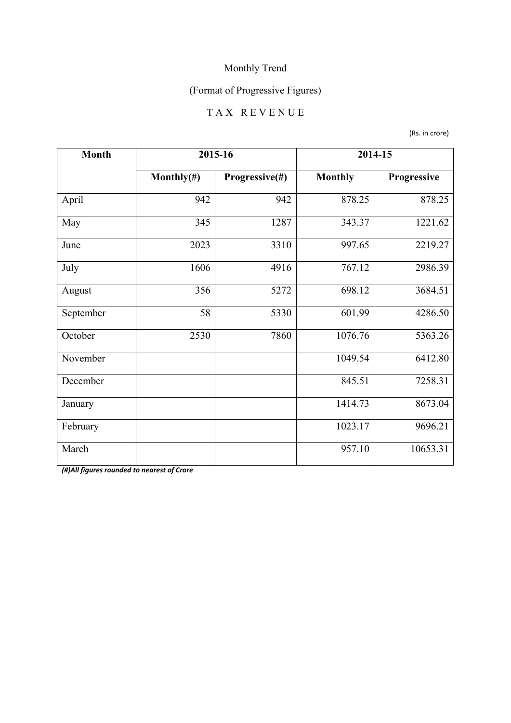## (Format of Progressive Figures)

#### T A X R E V E N U E

(Rs. in crore)

| <b>Month</b> | 2015-16        |                | 2014-15        |             |
|--------------|----------------|----------------|----------------|-------------|
|              | Monthly $(\#)$ | Progressive(#) | <b>Monthly</b> | Progressive |
| April        | 942            | 942            | 878.25         | 878.25      |
| May          | 345            | 1287           | 343.37         | 1221.62     |
| June         | 2023           | 3310           | 997.65         | 2219.27     |
| July         | 1606           | 4916           | 767.12         | 2986.39     |
| August       | 356            | 5272           | 698.12         | 3684.51     |
| September    | 58             | 5330           | 601.99         | 4286.50     |
| October      | 2530           | 7860           | 1076.76        | 5363.26     |
| November     |                |                | 1049.54        | 6412.80     |
| December     |                |                | 845.51         | 7258.31     |
| January      |                |                | 1414.73        | 8673.04     |
| February     |                |                | 1023.17        | 9696.21     |
| March        |                |                | 957.10         | 10653.31    |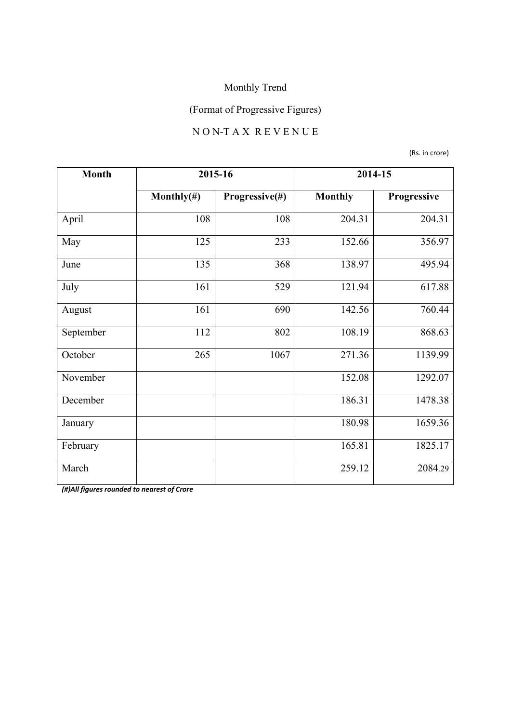## (Format of Progressive Figures)

### N O N-T A X R E V E N U E

(Rs. in crore)

| <b>Month</b> |                | 2015-16        | 2014-15        |             |
|--------------|----------------|----------------|----------------|-------------|
|              | Monthly $(\#)$ | Progressive(#) | <b>Monthly</b> | Progressive |
| April        | 108            | 108            | 204.31         | 204.31      |
| May          | 125            | 233            | 152.66         | 356.97      |
| June         | 135            | 368            | 138.97         | 495.94      |
| July         | 161            | 529            | 121.94         | 617.88      |
| August       | 161            | 690            | 142.56         | 760.44      |
| September    | 112            | 802            | 108.19         | 868.63      |
| October      | 265            | 1067           | 271.36         | 1139.99     |
| November     |                |                | 152.08         | 1292.07     |
| December     |                |                | 186.31         | 1478.38     |
| January      |                |                | 180.98         | 1659.36     |
| February     |                |                | 165.81         | 1825.17     |
| March        |                |                | 259.12         | 2084.29     |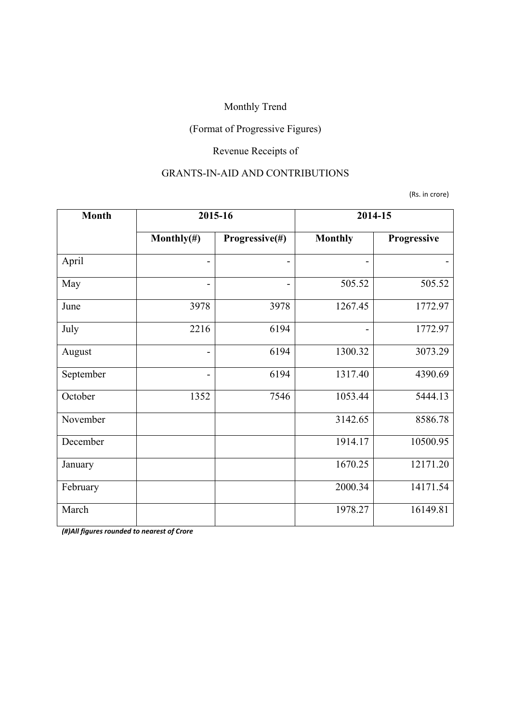## (Format of Progressive Figures)

## Revenue Receipts of

#### GRANTS-IN-AID AND CONTRIBUTIONS

(Rs. in crore)

| <b>Month</b> | 2015-16        |                | 2014-15                  |             |
|--------------|----------------|----------------|--------------------------|-------------|
|              | Monthly $(\#)$ | Progressive(#) | <b>Monthly</b>           | Progressive |
| April        | -              |                | -                        |             |
| May          | $\overline{a}$ | -              | 505.52                   | 505.52      |
| June         | 3978           | 3978           | 1267.45                  | 1772.97     |
| July         | 2216           | 6194           | $\overline{\phantom{a}}$ | 1772.97     |
| August       | $\overline{a}$ | 6194           | 1300.32                  | 3073.29     |
| September    | -              | 6194           | 1317.40                  | 4390.69     |
| October      | 1352           | 7546           | 1053.44                  | 5444.13     |
| November     |                |                | 3142.65                  | 8586.78     |
| December     |                |                | 1914.17                  | 10500.95    |
| January      |                |                | 1670.25                  | 12171.20    |
| February     |                |                | 2000.34                  | 14171.54    |
| March        |                |                | 1978.27                  | 16149.81    |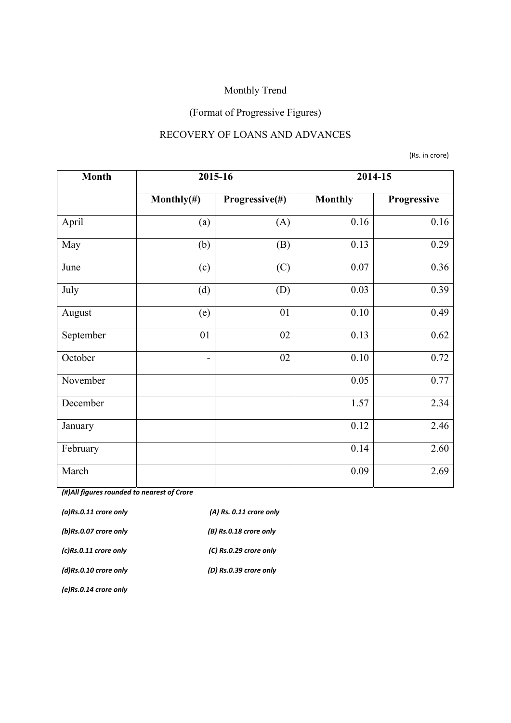## (Format of Progressive Figures)

#### RECOVERY OF LOANS AND ADVANCES

(Rs. in crore)

| <b>Month</b> |                          | 2015-16        | 2014-15        |             |
|--------------|--------------------------|----------------|----------------|-------------|
|              | Monthly $(\#)$           | Progressive(#) | <b>Monthly</b> | Progressive |
| April        | (a)                      | (A)            | 0.16           | 0.16        |
| May          | (b)                      | (B)            | 0.13           | 0.29        |
| June         | (c)                      | (C)            | 0.07           | 0.36        |
| July         | (d)                      | (D)            | 0.03           | 0.39        |
| August       | (e)                      | 01             | 0.10           | 0.49        |
| September    | 01                       | 02             | 0.13           | 0.62        |
| October      | $\overline{\phantom{a}}$ | 02             | 0.10           | 0.72        |
| November     |                          |                | 0.05           | 0.77        |
| December     |                          |                | 1.57           | 2.34        |
| January      |                          |                | 0.12           | 2.46        |
| February     |                          |                | 0.14           | 2.60        |
| March        |                          |                | 0.09           | 2.69        |

*(#)All figures rounded to nearest of Crore*

| $(a)$ Rs.0.11 crore only | $(A)$ Rs. 0.11 crore only |
|--------------------------|---------------------------|
| (b)Rs.0.07 crore only    | (B) Rs.0.18 crore only    |
| $(c)$ Rs.0.11 crore only | (C) Rs.0.29 crore only    |
| $(d)$ Rs.0.10 crore only | (D) Rs.0.39 crore only    |
|                          |                           |

*(e)Rs.0.14 crore only*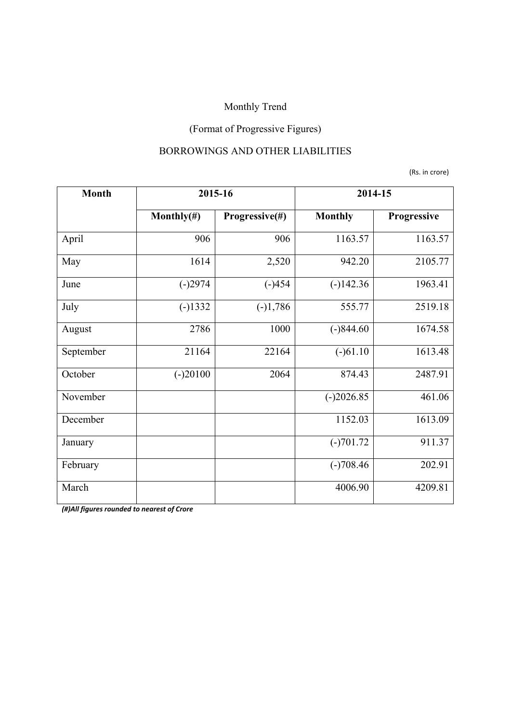## (Format of Progressive Figures)

#### BORROWINGS AND OTHER LIABILITIES

(Rs. in crore)

| <b>Month</b> | 2015-16        |                | 2014-15        |             |
|--------------|----------------|----------------|----------------|-------------|
|              | Monthly $(\#)$ | Progressive(#) | <b>Monthly</b> | Progressive |
| April        | 906            | 906            | 1163.57        | 1163.57     |
| May          | 1614           | 2,520          | 942.20         | 2105.77     |
| June         | $(-)2974$      | $(-)454$       | $(-)142.36$    | 1963.41     |
| July         | $(-)1332$      | $(-)1,786$     | 555.77         | 2519.18     |
| August       | 2786           | 1000           | $(-)844.60$    | 1674.58     |
| September    | 21164          | 22164          | $(-)61.10$     | 1613.48     |
| October      | $(-)20100$     | 2064           | 874.43         | 2487.91     |
| November     |                |                | $(-)2026.85$   | 461.06      |
| December     |                |                | 1152.03        | 1613.09     |
| January      |                |                | $(-)701.72$    | 911.37      |
| February     |                |                | $(-)708.46$    | 202.91      |
| March        |                |                | 4006.90        | 4209.81     |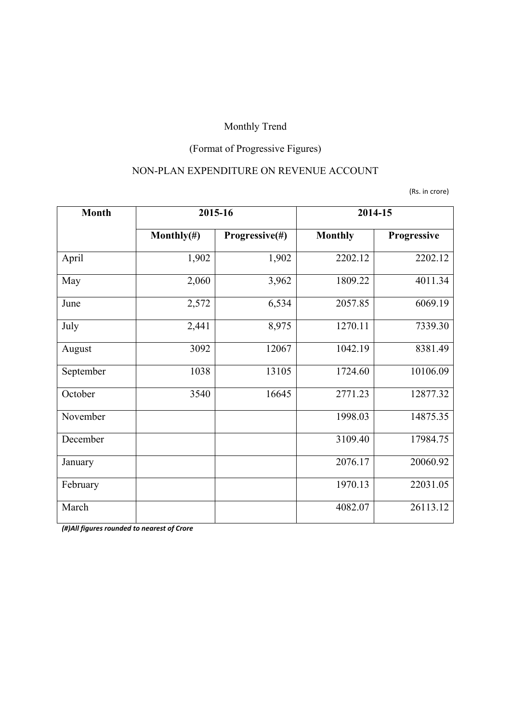## (Format of Progressive Figures)

### NON-PLAN EXPENDITURE ON REVENUE ACCOUNT

(Rs. in crore)

| <b>Month</b> |                | 2015-16        | 2014-15        |             |
|--------------|----------------|----------------|----------------|-------------|
|              | Monthly $(\#)$ | Progressive(#) | <b>Monthly</b> | Progressive |
| April        | 1,902          | 1,902          | 2202.12        | 2202.12     |
| May          | 2,060          | 3,962          | 1809.22        | 4011.34     |
| June         | 2,572          | 6,534          | 2057.85        | 6069.19     |
| July         | 2,441          | 8,975          | 1270.11        | 7339.30     |
| August       | 3092           | 12067          | 1042.19        | 8381.49     |
| September    | 1038           | 13105          | 1724.60        | 10106.09    |
| October      | 3540           | 16645          | 2771.23        | 12877.32    |
| November     |                |                | 1998.03        | 14875.35    |
| December     |                |                | 3109.40        | 17984.75    |
| January      |                |                | 2076.17        | 20060.92    |
| February     |                |                | 1970.13        | 22031.05    |
| March        |                |                | 4082.07        | 26113.12    |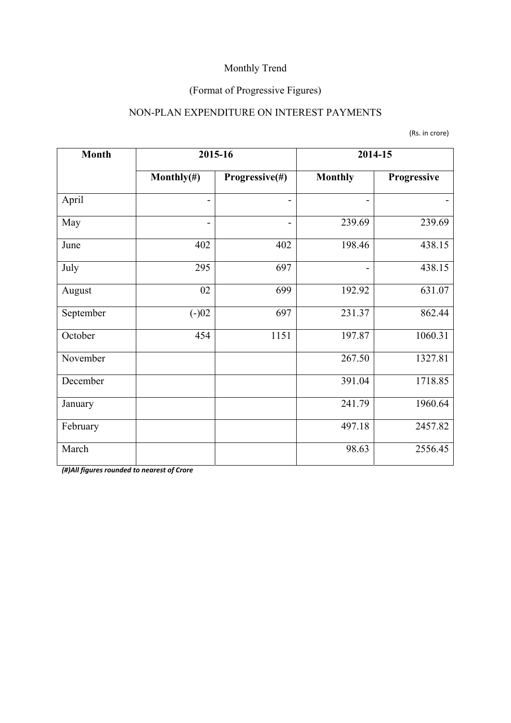## (Format of Progressive Figures)

### NON-PLAN EXPENDITURE ON INTEREST PAYMENTS

(Rs. in crore)

| <b>Month</b> | 2015-16                      |                | 2014-15                      |             |
|--------------|------------------------------|----------------|------------------------------|-------------|
|              | Monthly $(\#)$               | Progressive(#) | <b>Monthly</b>               | Progressive |
| April        |                              |                | $\overline{a}$               |             |
| May          | $\qquad \qquad \blacksquare$ |                | 239.69                       | 239.69      |
| June         | 402                          | 402            | 198.46                       | 438.15      |
| July         | 295                          | 697            | $\qquad \qquad \blacksquare$ | 438.15      |
| August       | 02                           | 699            | 192.92                       | 631.07      |
| September    | $(-)02$                      | 697            | 231.37                       | 862.44      |
| October      | 454                          | 1151           | 197.87                       | 1060.31     |
| November     |                              |                | 267.50                       | 1327.81     |
| December     |                              |                | 391.04                       | 1718.85     |
| January      |                              |                | 241.79                       | 1960.64     |
| February     |                              |                | 497.18                       | 2457.82     |
| March        |                              |                | 98.63                        | 2556.45     |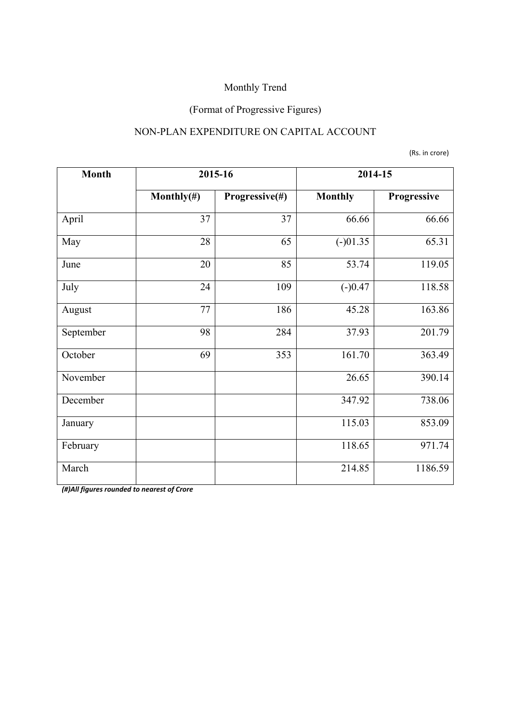## (Format of Progressive Figures)

#### NON-PLAN EXPENDITURE ON CAPITAL ACCOUNT

(Rs. in crore)

| <b>Month</b> | 2015-16        |                |                | 2014-15     |
|--------------|----------------|----------------|----------------|-------------|
|              | Monthly $(\#)$ | Progressive(#) | <b>Monthly</b> | Progressive |
| April        | 37             | 37             | 66.66          | 66.66       |
| May          | 28             | 65             | $(-)01.35$     | 65.31       |
| June         | 20             | 85             | 53.74          | 119.05      |
| July         | 24             | 109            | $(-)0.47$      | 118.58      |
| August       | 77             | 186            | 45.28          | 163.86      |
| September    | 98             | 284            | 37.93          | 201.79      |
| October      | 69             | 353            | 161.70         | 363.49      |
| November     |                |                | 26.65          | 390.14      |
| December     |                |                | 347.92         | 738.06      |
| January      |                |                | 115.03         | 853.09      |
| February     |                |                | 118.65         | 971.74      |
| March        |                |                | 214.85         | 1186.59     |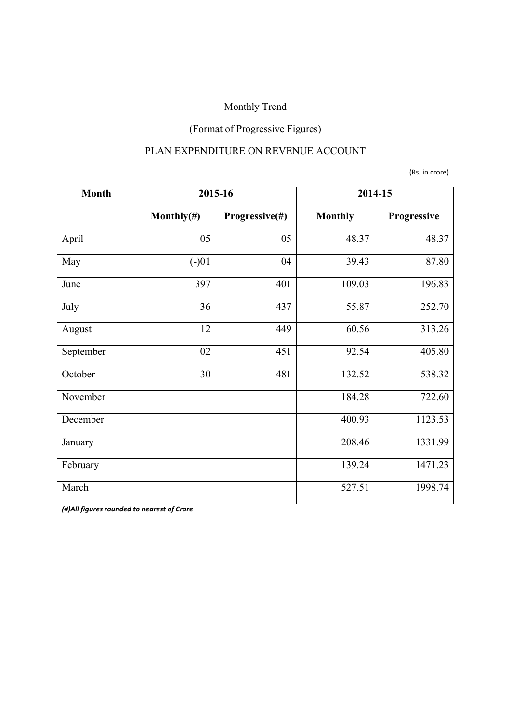## (Format of Progressive Figures)

### PLAN EXPENDITURE ON REVENUE ACCOUNT

(Rs. in crore)

| <b>Month</b> | 2015-16        |                | 2014-15        |             |
|--------------|----------------|----------------|----------------|-------------|
|              | Monthly $(\#)$ | Progressive(#) | <b>Monthly</b> | Progressive |
| April        | 05             | 05             | 48.37          | 48.37       |
| May          | $(-)01$        | 04             | 39.43          | 87.80       |
| June         | 397            | 401            | 109.03         | 196.83      |
| July         | 36             | 437            | 55.87          | 252.70      |
| August       | 12             | 449            | 60.56          | 313.26      |
| September    | 02             | 451            | 92.54          | 405.80      |
| October      | 30             | 481            | 132.52         | 538.32      |
| November     |                |                | 184.28         | 722.60      |
| December     |                |                | 400.93         | 1123.53     |
| January      |                |                | 208.46         | 1331.99     |
| February     |                |                | 139.24         | 1471.23     |
| March        |                |                | 527.51         | 1998.74     |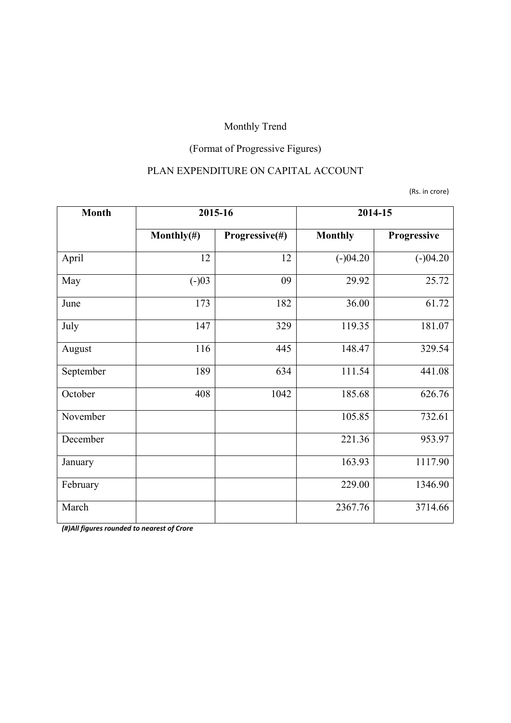## (Format of Progressive Figures)

## PLAN EXPENDITURE ON CAPITAL ACCOUNT

(Rs. in crore)

| <b>Month</b> | 2015-16        |                | 2014-15        |             |
|--------------|----------------|----------------|----------------|-------------|
|              | Monthly $(\#)$ | Progressive(#) | <b>Monthly</b> | Progressive |
| April        | 12             | 12             | $(-)04.20$     | $(-)04.20$  |
| May          | $(-)03$        | 09             | 29.92          | 25.72       |
| June         | 173            | 182            | 36.00          | 61.72       |
| July         | 147            | 329            | 119.35         | 181.07      |
| August       | 116            | 445            | 148.47         | 329.54      |
| September    | 189            | 634            | 111.54         | 441.08      |
| October      | 408            | 1042           | 185.68         | 626.76      |
| November     |                |                | 105.85         | 732.61      |
| December     |                |                | 221.36         | 953.97      |
| January      |                |                | 163.93         | 1117.90     |
| February     |                |                | 229.00         | 1346.90     |
| March        |                |                | 2367.76        | 3714.66     |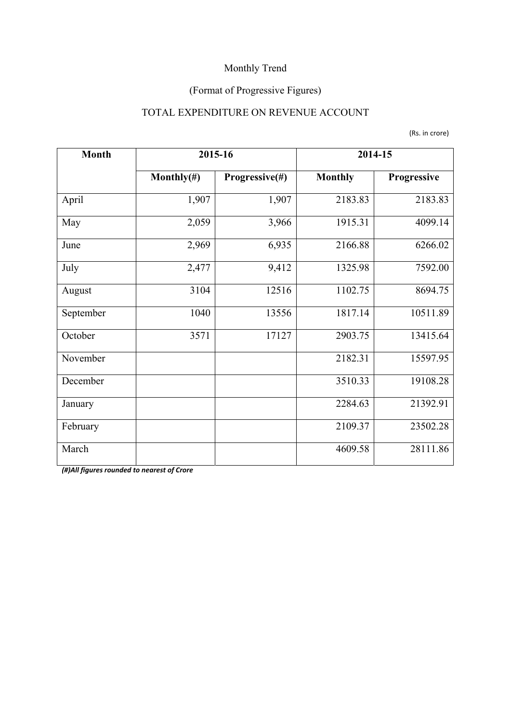## (Format of Progressive Figures)

### TOTAL EXPENDITURE ON REVENUE ACCOUNT

|  |  | (Rs. in crore) |
|--|--|----------------|
|--|--|----------------|

| <b>Month</b> | 2015-16        |                | 2014-15        |             |
|--------------|----------------|----------------|----------------|-------------|
|              | Monthly $(\#)$ | Progressive(#) | <b>Monthly</b> | Progressive |
| April        | 1,907          | 1,907          | 2183.83        | 2183.83     |
| May          | 2,059          | 3,966          | 1915.31        | 4099.14     |
| June         | 2,969          | 6,935          | 2166.88        | 6266.02     |
| July         | 2,477          | 9,412          | 1325.98        | 7592.00     |
| August       | 3104           | 12516          | 1102.75        | 8694.75     |
| September    | 1040           | 13556          | 1817.14        | 10511.89    |
| October      | 3571           | 17127          | 2903.75        | 13415.64    |
| November     |                |                | 2182.31        | 15597.95    |
| December     |                |                | 3510.33        | 19108.28    |
| January      |                |                | 2284.63        | 21392.91    |
| February     |                |                | 2109.37        | 23502.28    |
| March        |                |                | 4609.58        | 28111.86    |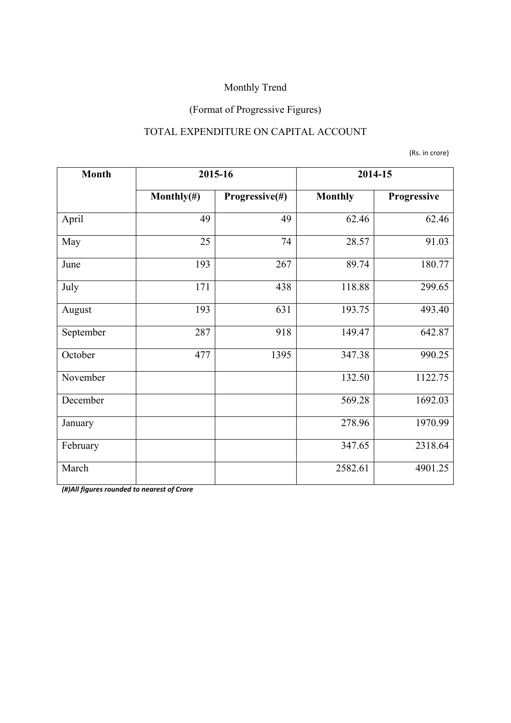## (Format of Progressive Figures)

### TOTAL EXPENDITURE ON CAPITAL ACCOUNT

(Rs. in crore)

| <b>Month</b> | 2015-16        |                | 2014-15        |             |
|--------------|----------------|----------------|----------------|-------------|
|              | Monthly $(\#)$ | Progressive(#) | <b>Monthly</b> | Progressive |
| April        | 49             | 49             | 62.46          | 62.46       |
| May          | 25             | 74             | 28.57          | 91.03       |
| June         | 193            | 267            | 89.74          | 180.77      |
| July         | 171            | 438            | 118.88         | 299.65      |
| August       | 193            | 631            | 193.75         | 493.40      |
| September    | 287            | 918            | 149.47         | 642.87      |
| October      | 477            | 1395           | 347.38         | 990.25      |
| November     |                |                | 132.50         | 1122.75     |
| December     |                |                | 569.28         | 1692.03     |
| January      |                |                | 278.96         | 1970.99     |
| February     |                |                | 347.65         | 2318.64     |
| March        |                |                | 2582.61        | 4901.25     |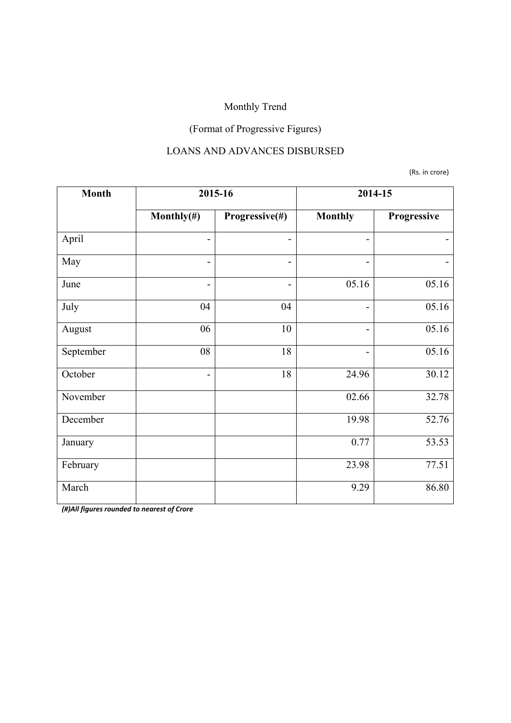## (Format of Progressive Figures)

#### LOANS AND ADVANCES DISBURSED

(Rs. in crore)

| <b>Month</b> | 2015-16                      |                          | 2014-15                  |             |
|--------------|------------------------------|--------------------------|--------------------------|-------------|
|              | Monthly $(\#)$               | Progressive(#)           | <b>Monthly</b>           | Progressive |
| April        | $\overline{\phantom{a}}$     |                          | -                        |             |
| May          | $\qquad \qquad \blacksquare$ | $\blacksquare$           | $\overline{a}$           |             |
| June         | $\qquad \qquad \blacksquare$ | $\overline{\phantom{0}}$ | 05.16                    | 05.16       |
| July         | 04                           | 04                       | $\overline{\phantom{0}}$ | 05.16       |
| August       | 06                           | 10                       | -                        | 05.16       |
| September    | 08                           | 18                       |                          | 05.16       |
| October      | $\overline{\phantom{a}}$     | 18                       | 24.96                    | 30.12       |
| November     |                              |                          | 02.66                    | 32.78       |
| December     |                              |                          | 19.98                    | 52.76       |
| January      |                              |                          | 0.77                     | 53.53       |
| February     |                              |                          | 23.98                    | 77.51       |
| March        |                              |                          | 9.29                     | 86.80       |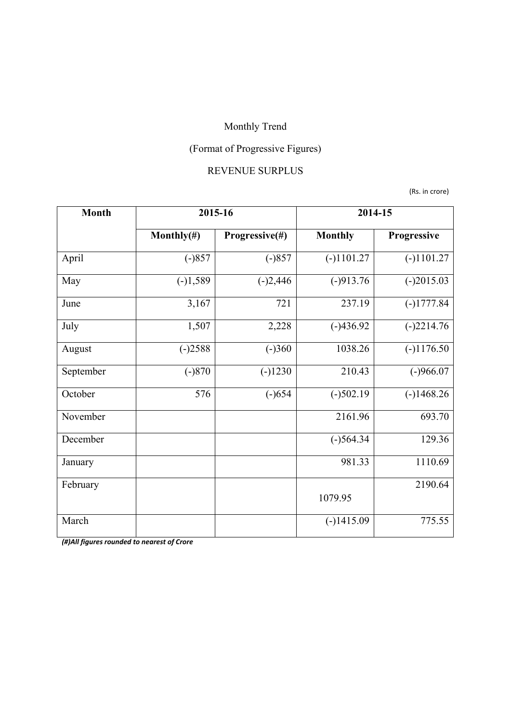# (Format of Progressive Figures)

#### REVENUE SURPLUS

(Rs. in crore)

| <b>Month</b> | 2015-16        |                | 2014-15        |              |
|--------------|----------------|----------------|----------------|--------------|
|              | Monthly $(\#)$ | Progressive(#) | <b>Monthly</b> | Progressive  |
| April        | $(-)857$       | $(-)857$       | $(-)1101.27$   | $(-)1101.27$ |
| May          | $(-)1,589$     | $(-)2,446$     | $(-)913.76$    | $(-)2015.03$ |
| June         | 3,167          | 721            | 237.19         | $(-)1777.84$ |
| July         | 1,507          | 2,228          | $(-)436.92$    | $(-)2214.76$ |
| August       | $(-)2588$      | $(-)360$       | 1038.26        | $(-)1176.50$ |
| September    | $(-)870$       | $(-)1230$      | 210.43         | $(-)966.07$  |
| October      | 576            | $(-)654$       | $(-)502.19$    | $(-)1468.26$ |
| November     |                |                | 2161.96        | 693.70       |
| December     |                |                | $(-)564.34$    | 129.36       |
| January      |                |                | 981.33         | 1110.69      |
| February     |                |                | 1079.95        | 2190.64      |
| March        |                |                |                | 775.55       |
|              |                |                | $(-)1415.09$   |              |